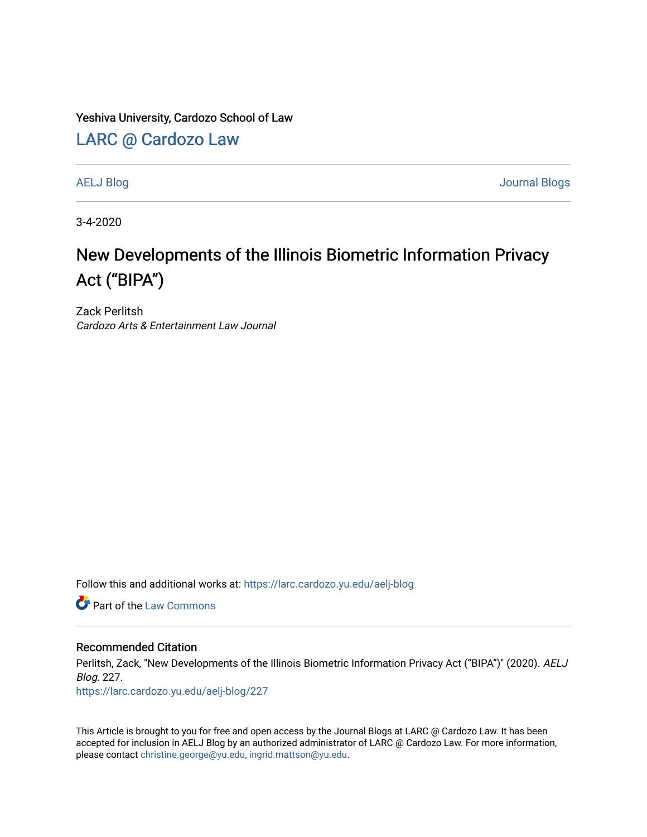Yeshiva University, Cardozo School of Law

[LARC @ Cardozo Law](https://larc.cardozo.yu.edu/)

[AELJ Blog](https://larc.cardozo.yu.edu/aelj-blog) [Journal Blogs](https://larc.cardozo.yu.edu/journal-blogs) 

3-4-2020

## New Developments of the Illinois Biometric Information Privacy Act ("BIPA")

Zack Perlitsh Cardozo Arts & Entertainment Law Journal

Follow this and additional works at: [https://larc.cardozo.yu.edu/aelj-blog](https://larc.cardozo.yu.edu/aelj-blog?utm_source=larc.cardozo.yu.edu%2Faelj-blog%2F227&utm_medium=PDF&utm_campaign=PDFCoverPages) 

**C** Part of the [Law Commons](http://network.bepress.com/hgg/discipline/578?utm_source=larc.cardozo.yu.edu%2Faelj-blog%2F227&utm_medium=PDF&utm_campaign=PDFCoverPages)

## Recommended Citation

Perlitsh, Zack, "New Developments of the Illinois Biometric Information Privacy Act ("BIPA")" (2020). AELJ Blog. 227.

[https://larc.cardozo.yu.edu/aelj-blog/227](https://larc.cardozo.yu.edu/aelj-blog/227?utm_source=larc.cardozo.yu.edu%2Faelj-blog%2F227&utm_medium=PDF&utm_campaign=PDFCoverPages) 

This Article is brought to you for free and open access by the Journal Blogs at LARC @ Cardozo Law. It has been accepted for inclusion in AELJ Blog by an authorized administrator of LARC @ Cardozo Law. For more information, please contact [christine.george@yu.edu, ingrid.mattson@yu.edu.](mailto:christine.george@yu.edu,%20ingrid.mattson@yu.edu)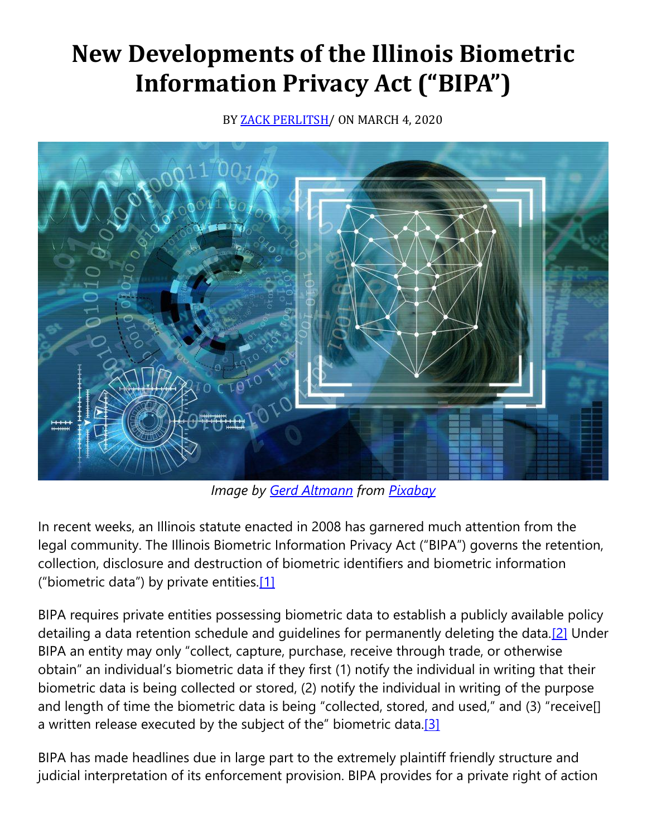## **New Developments of the Illinois Biometric Information Privacy Act ("BIPA")**

BY **ZACK PERLITSH**/ ON MARCH 4, 2020



*Image by Gerd [Altmann](https://pixabay.com/users/geralt-9301/?utm_source=link-attribution&utm_medium=referral&utm_campaign=image&utm_content=4791810) from [Pixabay](https://pixabay.com/?utm_source=link-attribution&utm_medium=referral&utm_campaign=image&utm_content=4791810)*

In recent weeks, an Illinois statute enacted in 2008 has garnered much attention from the legal community. The Illinois Biometric Information Privacy Act ("BIPA") governs the retention, collection, disclosure and destruction of biometric identifiers and biometric information ("biometric data") by private entities.[\[1\]](https://cardozoaelj.com/2020/03/04/new-developments-of-the-illinois-biometric-information-privacy-act-bipa/#_ftn1)

BIPA requires private entities possessing biometric data to establish a publicly available policy detailing a data retention schedule and guidelines for permanently deleting the data[.\[2\]](https://cardozoaelj.com/2020/03/04/new-developments-of-the-illinois-biometric-information-privacy-act-bipa/#_ftn2) Under BIPA an entity may only "collect, capture, purchase, receive through trade, or otherwise obtain" an individual's biometric data if they first (1) notify the individual in writing that their biometric data is being collected or stored, (2) notify the individual in writing of the purpose and length of time the biometric data is being "collected, stored, and used," and (3) "receive[] a written release executed by the subject of the" biometric data.<sup>[3]</sup>

BIPA has made headlines due in large part to the extremely plaintiff friendly structure and judicial interpretation of its enforcement provision. BIPA provides for a private right of action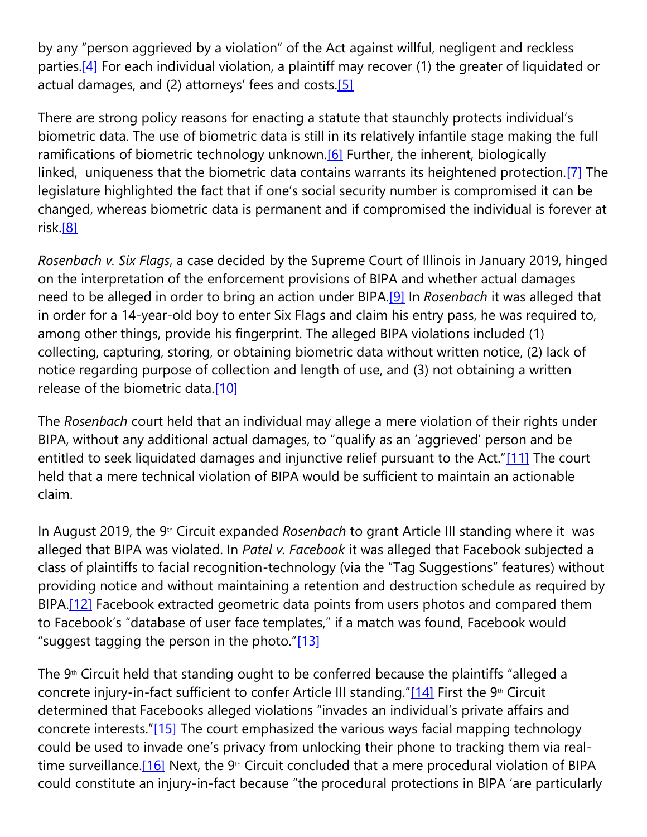by any "person aggrieved by a violation" of the Act against willful, negligent and reckless parties.<sup>[4]</sup> For each individual violation, a plaintiff may recover (1) the greater of liquidated or actual damages, and (2) attorneys' fees and costs.<sup>[\[5\]](https://cardozoaelj.com/2020/03/04/new-developments-of-the-illinois-biometric-information-privacy-act-bipa/#_ftn5)</sup>

There are strong policy reasons for enacting a statute that staunchly protects individual's biometric data. The use of biometric data is still in its relatively infantile stage making the full ramifications of biometric technology unknown.<sup>[6]</sup> Further, the inherent, biologically linked, uniqueness that the biometric data contains warrants its heightened protection.<sup>[7]</sup> The legislature highlighted the fact that if one's social security number is compromised it can be changed, whereas biometric data is permanent and if compromised the individual is forever at risk[.\[8\]](https://cardozoaelj.com/2020/03/04/new-developments-of-the-illinois-biometric-information-privacy-act-bipa/#_ftn8)

*Rosenbach v. Six Flags*, a case decided by the Supreme Court of Illinois in January 2019, hinged on the interpretation of the enforcement provisions of BIPA and whether actual damages need to be alleged in order to bring an action under BIPA[.\[9\]](https://cardozoaelj.com/2020/03/04/new-developments-of-the-illinois-biometric-information-privacy-act-bipa/#_ftn9) In *Rosenbach* it was alleged that in order for a 14-year-old boy to enter Six Flags and claim his entry pass, he was required to, among other things, provide his fingerprint. The alleged BIPA violations included (1) collecting, capturing, storing, or obtaining biometric data without written notice, (2) lack of notice regarding purpose of collection and length of use, and (3) not obtaining a written release of the biometric data[.\[10\]](https://cardozoaelj.com/2020/03/04/new-developments-of-the-illinois-biometric-information-privacy-act-bipa/#_ftn10)

The *Rosenbach* court held that an individual may allege a mere violation of their rights under BIPA, without any additional actual damages, to "qualify as an 'aggrieved' person and be entitled to seek liquidated damages and injunctive relief pursuant to the Act."[\[11\]](https://cardozoaelj.com/2020/03/04/new-developments-of-the-illinois-biometric-information-privacy-act-bipa/#_ftn11) The court held that a mere technical violation of BIPA would be sufficient to maintain an actionable claim.

In August 2019, the 9<sup>th</sup> Circuit expanded *Rosenbach* to grant Article III standing where it was alleged that BIPA was violated. In *Patel v. Facebook* it was alleged that Facebook subjected a class of plaintiffs to facial recognition-technology (via the "Tag Suggestions" features) without providing notice and without maintaining a retention and destruction schedule as required by BIPA.<sup>[12]</sup> Facebook extracted geometric data points from users photos and compared them to Facebook's "database of user face templates," if a match was found, Facebook would "suggest tagging the person in the photo."[\[13\]](https://cardozoaelj.com/2020/03/04/new-developments-of-the-illinois-biometric-information-privacy-act-bipa/#_ftn13)

The  $9<sup>th</sup>$  Circuit held that standing ought to be conferred because the plaintiffs "alleged a concrete injury-in-fact sufficient to confer Article III standing." $[14]$  First the 9<sup>th</sup> Circuit determined that Facebooks alleged violations "invades an individual's private affairs and concrete interests."[\[15\]](https://cardozoaelj.com/2020/03/04/new-developments-of-the-illinois-biometric-information-privacy-act-bipa/#_ftn15) The court emphasized the various ways facial mapping technology could be used to invade one's privacy from unlocking their phone to tracking them via realtime surveillance.<sup>[16]</sup> Next, the 9<sup>th</sup> Circuit concluded that a mere procedural violation of BIPA could constitute an injury-in-fact because "the procedural protections in BIPA 'are particularly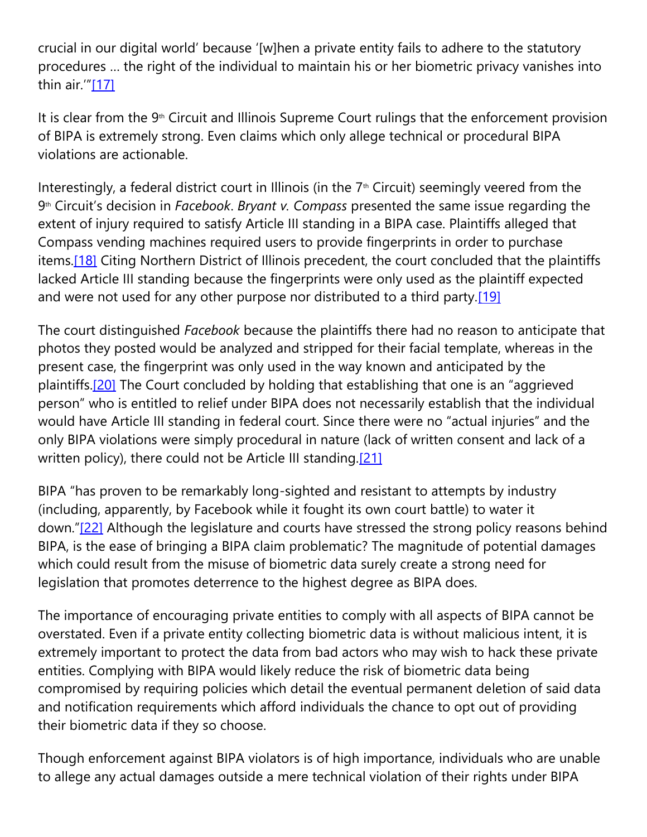crucial in our digital world' because '[w]hen a private entity fails to adhere to the statutory procedures … the right of the individual to maintain his or her biometric privacy vanishes into thin air."[\[17\]](https://cardozoaelj.com/2020/03/04/new-developments-of-the-illinois-biometric-information-privacy-act-bipa/#_ftn17)

It is clear from the  $9<sup>th</sup>$  Circuit and Illinois Supreme Court rulings that the enforcement provision of BIPA is extremely strong. Even claims which only allege technical or procedural BIPA violations are actionable.

Interestingly, a federal district court in Illinois (in the  $7<sup>th</sup>$  Circuit) seemingly veered from the 9th Circuit's decision in *Facebook*. *Bryant v. Compass* presented the same issue regarding the extent of injury required to satisfy Article III standing in a BIPA case. Plaintiffs alleged that Compass vending machines required users to provide fingerprints in order to purchase items[.\[18\]](https://cardozoaelj.com/2020/03/04/new-developments-of-the-illinois-biometric-information-privacy-act-bipa/#_ftn18) Citing Northern District of Illinois precedent, the court concluded that the plaintiffs lacked Article III standing because the fingerprints were only used as the plaintiff expected and were not used for any other purpose nor distributed to a third party.<sup>[19]</sup>

The court distinguished *Facebook* because the plaintiffs there had no reason to anticipate that photos they posted would be analyzed and stripped for their facial template, whereas in the present case, the fingerprint was only used in the way known and anticipated by the plaintiffs[.\[20\]](https://cardozoaelj.com/2020/03/04/new-developments-of-the-illinois-biometric-information-privacy-act-bipa/#_ftn20) The Court concluded by holding that establishing that one is an "aggrieved person" who is entitled to relief under BIPA does not necessarily establish that the individual would have Article III standing in federal court. Since there were no "actual injuries" and the only BIPA violations were simply procedural in nature (lack of written consent and lack of a written policy), there could not be Article III standing[.\[21\]](https://cardozoaelj.com/2020/03/04/new-developments-of-the-illinois-biometric-information-privacy-act-bipa/#_ftn21)

BIPA "has proven to be remarkably long-sighted and resistant to attempts by industry (including, apparently, by Facebook while it fought its own court battle) to water it down."[\[22\]](https://cardozoaelj.com/2020/03/04/new-developments-of-the-illinois-biometric-information-privacy-act-bipa/#_ftn22) Although the legislature and courts have stressed the strong policy reasons behind BIPA, is the ease of bringing a BIPA claim problematic? The magnitude of potential damages which could result from the misuse of biometric data surely create a strong need for legislation that promotes deterrence to the highest degree as BIPA does.

The importance of encouraging private entities to comply with all aspects of BIPA cannot be overstated. Even if a private entity collecting biometric data is without malicious intent, it is extremely important to protect the data from bad actors who may wish to hack these private entities. Complying with BIPA would likely reduce the risk of biometric data being compromised by requiring policies which detail the eventual permanent deletion of said data and notification requirements which afford individuals the chance to opt out of providing their biometric data if they so choose.

Though enforcement against BIPA violators is of high importance, individuals who are unable to allege any actual damages outside a mere technical violation of their rights under BIPA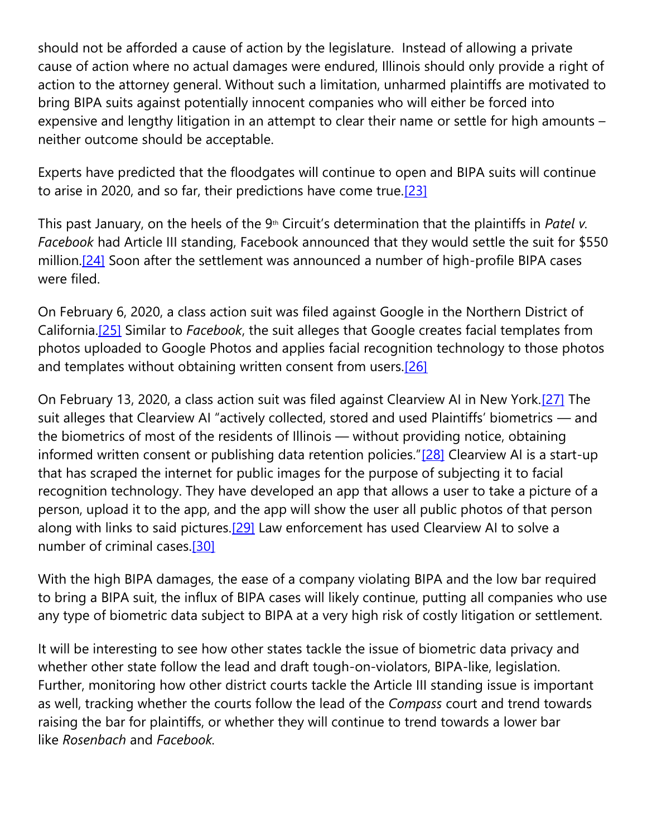should not be afforded a cause of action by the legislature. Instead of allowing a private cause of action where no actual damages were endured, Illinois should only provide a right of action to the attorney general. Without such a limitation, unharmed plaintiffs are motivated to bring BIPA suits against potentially innocent companies who will either be forced into expensive and lengthy litigation in an attempt to clear their name or settle for high amounts – neither outcome should be acceptable.

Experts have predicted that the floodgates will continue to open and BIPA suits will continue to arise in 2020, and so far, their predictions have come true.<sup>[23]</sup>

This past January, on the heels of the 9<sup>th</sup> Circuit's determination that the plaintiffs in *Patelv*. *Facebook* had Article III standing, Facebook announced that they would settle the suit for \$550 million.<sup>[24]</sup> Soon after the settlement was announced a number of high-profile BIPA cases were filed.

On February 6, 2020, a class action suit was filed against Google in the Northern District of California[.\[25\]](https://cardozoaelj.com/2020/03/04/new-developments-of-the-illinois-biometric-information-privacy-act-bipa/#_ftn25) Similar to *Facebook*, the suit alleges that Google creates facial templates from photos uploaded to Google Photos and applies facial recognition technology to those photos and templates without obtaining written consent from users.<sup>[26]</sup>

On February 13, 2020, a class action suit was filed against Clearview AI in New York[.\[27\]](https://cardozoaelj.com/2020/03/04/new-developments-of-the-illinois-biometric-information-privacy-act-bipa/#_ftn27) The suit alleges that Clearview AI "actively collected, stored and used Plaintiffs' biometrics — and the biometrics of most of the residents of Illinois — without providing notice, obtaining informed written consent or publishing data retention policies."[\[28\]](https://cardozoaelj.com/2020/03/04/new-developments-of-the-illinois-biometric-information-privacy-act-bipa/#_ftn28) Clearview AI is a start-up that has scraped the internet for public images for the purpose of subjecting it to facial recognition technology. They have developed an app that allows a user to take a picture of a person, upload it to the app, and the app will show the user all public photos of that person along with links to said pictures.<sup>[29]</sup> Law enforcement has used Clearview AI to solve a number of criminal cases[.\[30\]](https://cardozoaelj.com/2020/03/04/new-developments-of-the-illinois-biometric-information-privacy-act-bipa/#_ftn30)

With the high BIPA damages, the ease of a company violating BIPA and the low bar required to bring a BIPA suit, the influx of BIPA cases will likely continue, putting all companies who use any type of biometric data subject to BIPA at a very high risk of costly litigation or settlement.

It will be interesting to see how other states tackle the issue of biometric data privacy and whether other state follow the lead and draft tough-on-violators, BIPA-like, legislation. Further, monitoring how other district courts tackle the Article III standing issue is important as well, tracking whether the courts follow the lead of the *Compass* court and trend towards raising the bar for plaintiffs, or whether they will continue to trend towards a lower bar like *Rosenbach* and *Facebook.*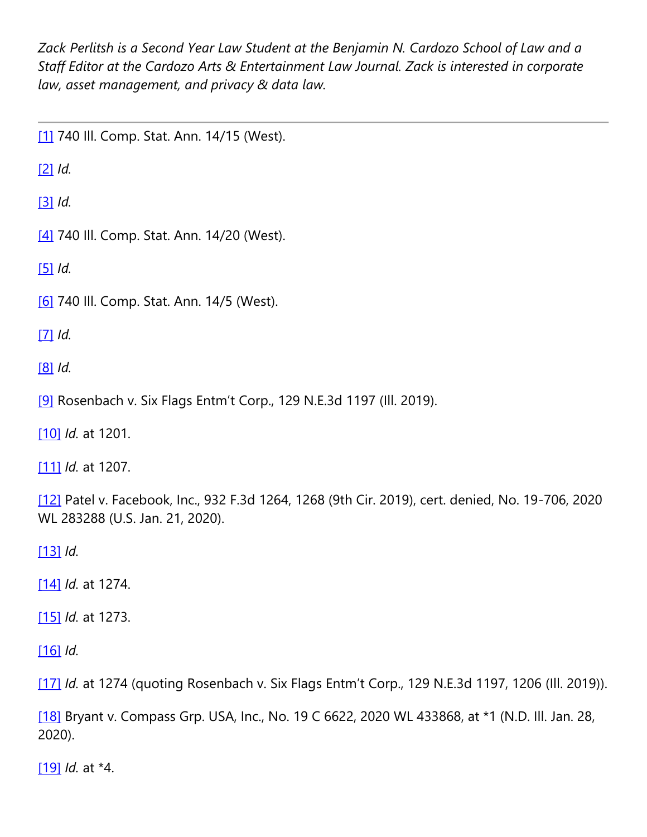*Zack Perlitsh is a Second Year Law Student at the Benjamin N. Cardozo School of Law and a Staff Editor at the Cardozo Arts & Entertainment Law Journal. Zack is interested in corporate law, asset management, and privacy & data law.*

[\[1\]](https://cardozoaelj.com/2020/03/04/new-developments-of-the-illinois-biometric-information-privacy-act-bipa/#_ftnref1) 740 III. Comp. Stat. Ann. 14/15 (West).

[\[2\]](https://cardozoaelj.com/2020/03/04/new-developments-of-the-illinois-biometric-information-privacy-act-bipa/#_ftnref2) *Id.*

[\[3\]](https://cardozoaelj.com/2020/03/04/new-developments-of-the-illinois-biometric-information-privacy-act-bipa/#_ftnref3) *Id.*

[\[4\]](https://cardozoaelj.com/2020/03/04/new-developments-of-the-illinois-biometric-information-privacy-act-bipa/#_ftnref4) 740 III. Comp. Stat. Ann. 14/20 (West).

[\[5\]](https://cardozoaelj.com/2020/03/04/new-developments-of-the-illinois-biometric-information-privacy-act-bipa/#_ftnref5) *Id.*

[\[6\]](https://cardozoaelj.com/2020/03/04/new-developments-of-the-illinois-biometric-information-privacy-act-bipa/#_ftnref6) 740 III. Comp. Stat. Ann. 14/5 (West).

[\[7\]](https://cardozoaelj.com/2020/03/04/new-developments-of-the-illinois-biometric-information-privacy-act-bipa/#_ftnref7) *Id.*

[\[8\]](https://cardozoaelj.com/2020/03/04/new-developments-of-the-illinois-biometric-information-privacy-act-bipa/#_ftnref8) *Id.*

[\[9\]](https://cardozoaelj.com/2020/03/04/new-developments-of-the-illinois-biometric-information-privacy-act-bipa/#_ftnref9) Rosenbach v. Six Flags Entm't Corp., 129 N.E.3d 1197 (Ill. 2019).

[\[10\]](https://cardozoaelj.com/2020/03/04/new-developments-of-the-illinois-biometric-information-privacy-act-bipa/#_ftnref10) *Id.* at 1201.

[\[11\]](https://cardozoaelj.com/2020/03/04/new-developments-of-the-illinois-biometric-information-privacy-act-bipa/#_ftnref11) *Id.* at 1207.

[\[12\]](https://cardozoaelj.com/2020/03/04/new-developments-of-the-illinois-biometric-information-privacy-act-bipa/#_ftnref12) Patel v. Facebook, Inc., 932 F.3d 1264, 1268 (9th Cir. 2019), cert. denied, No. 19-706, 2020 WL 283288 (U.S. Jan. 21, 2020).

[\[13\]](https://cardozoaelj.com/2020/03/04/new-developments-of-the-illinois-biometric-information-privacy-act-bipa/#_ftnref13) *Id.*

[\[14\]](https://cardozoaelj.com/2020/03/04/new-developments-of-the-illinois-biometric-information-privacy-act-bipa/#_ftnref14) *Id.* at 1274.

[\[15\]](https://cardozoaelj.com/2020/03/04/new-developments-of-the-illinois-biometric-information-privacy-act-bipa/#_ftnref15) *Id.* at 1273.

[\[16\]](https://cardozoaelj.com/2020/03/04/new-developments-of-the-illinois-biometric-information-privacy-act-bipa/#_ftnref16) *Id.*

[\[17\]](https://cardozoaelj.com/2020/03/04/new-developments-of-the-illinois-biometric-information-privacy-act-bipa/#_ftnref17) *Id.* at 1274 (quoting Rosenbach v. Six Flags Entm't Corp., 129 N.E.3d 1197, 1206 (Ill. 2019)).

[\[18\]](https://cardozoaelj.com/2020/03/04/new-developments-of-the-illinois-biometric-information-privacy-act-bipa/#_ftnref18) Bryant v. Compass Grp. USA, Inc., No. 19 C 6622, 2020 WL 433868, at \*1 (N.D. III. Jan. 28, 2020).

[\[19\]](https://cardozoaelj.com/2020/03/04/new-developments-of-the-illinois-biometric-information-privacy-act-bipa/#_ftnref19) *Id.* at \*4.